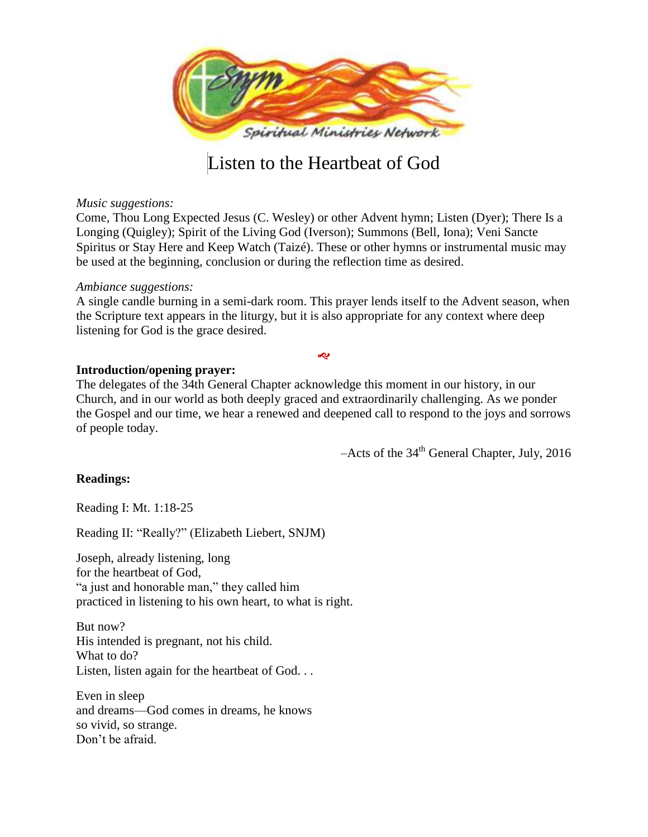

# Listen to the Heartbeat of God

### *Music suggestions:*

Come, Thou Long Expected Jesus (C. Wesley) or other Advent hymn; Listen (Dyer); There Is a Longing (Quigley); Spirit of the Living God (Iverson); Summons (Bell, Iona); Veni Sancte Spiritus or Stay Here and Keep Watch (Taizé). These or other hymns or instrumental music may be used at the beginning, conclusion or during the reflection time as desired.

#### *Ambiance suggestions:*

A single candle burning in a semi-dark room. This prayer lends itself to the Advent season, when the Scripture text appears in the liturgy, but it is also appropriate for any context where deep listening for God is the grace desired.

**S** 

## **Introduction/opening prayer:**

The delegates of the 34th General Chapter acknowledge this moment in our history, in our Church, and in our world as both deeply graced and extraordinarily challenging. As we ponder the Gospel and our time, we hear a renewed and deepened call to respond to the joys and sorrows of people today.

 $-$ Acts of the 34<sup>th</sup> General Chapter, July, 2016

## **Readings:**

Reading I: Mt. 1:18-25

Reading II: "Really?" (Elizabeth Liebert, SNJM)

Joseph, already listening, long for the heartbeat of God, "a just and honorable man," they called him practiced in listening to his own heart, to what is right.

But now? His intended is pregnant, not his child. What to do? Listen, listen again for the heartbeat of God. . .

Even in sleep and dreams—God comes in dreams, he knows so vivid, so strange. Don't be afraid.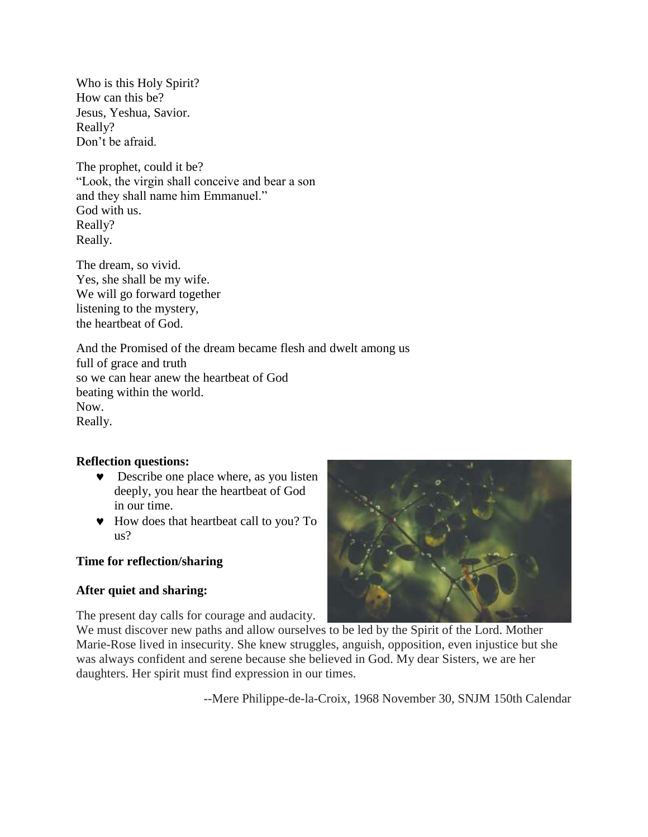Who is this Holy Spirit? How can this be? Jesus, Yeshua, Savior. Really? Don't be afraid.

The prophet, could it be? "Look, the virgin shall conceive and bear a son and they shall name him Emmanuel." God with us. Really? Really.

The dream, so vivid. Yes, she shall be my wife. We will go forward together listening to the mystery, the heartbeat of God.

And the Promised of the dream became flesh and dwelt among us full of grace and truth so we can hear anew the heartbeat of God beating within the world. Now. Really.

# **Reflection questions:**

- **v** Describe one place where, as you listen deeply, you hear the heartbeat of God in our time.
- How does that heartbeat call to you? To us?

# **Time for reflection/sharing**

# **After quiet and sharing:**

The present day calls for courage and audacity.

We must discover new paths and allow ourselves to be led by the Spirit of the Lord. Mother Marie-Rose lived in insecurity. She knew struggles, anguish, opposition, even injustice but she was always confident and serene because she believed in God. My dear Sisters, we are her daughters. Her spirit must find expression in our times.

--Mere Philippe-de-la-Croix, 1968 November 30, SNJM 150th Calendar